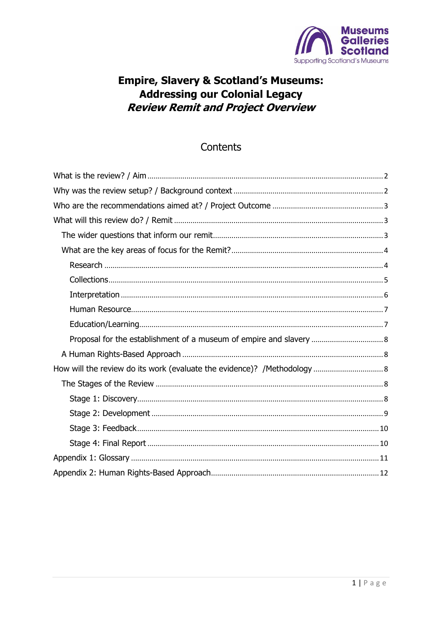

### **Empire, Slavery & Scotland's Museums: Addressing our Colonial Legacy Review Remit and Project Overview**

### Contents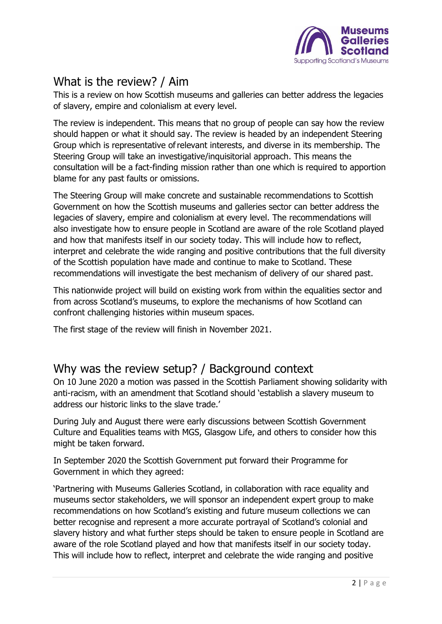

### <span id="page-1-0"></span>What is the review? / Aim

This is a review on how Scottish museums and galleries can better address the legacies of slavery, empire and colonialism at every level.

The review is independent. This means that no group of people can say how the review should happen or what it should say. The review is headed by an independent Steering Group which is representative of relevant interests, and diverse in its membership. The Steering Group will take an investigative/inquisitorial approach. This means the consultation will be a fact-finding mission rather than one which is required to apportion blame for any past faults or omissions.

The Steering Group will make concrete and sustainable recommendations to Scottish Government on how the Scottish museums and galleries sector can better address the legacies of slavery, empire and colonialism at every level. The recommendations will also investigate how to ensure people in Scotland are aware of the role Scotland played and how that manifests itself in our society today. This will include how to reflect, interpret and celebrate the wide ranging and positive contributions that the full diversity of the Scottish population have made and continue to make to Scotland. These recommendations will investigate the best mechanism of delivery of our shared past.

This nationwide project will build on existing work from within the equalities sector and from across Scotland's museums, to explore the mechanisms of how Scotland can confront challenging histories within museum spaces.

The first stage of the review will finish in November 2021.

### <span id="page-1-1"></span>Why was the review setup? / Background context

On 10 June 2020 a motion was passed in the Scottish Parliament showing solidarity with anti-racism, with an amendment that Scotland should 'establish a slavery museum to address our historic links to the slave trade.'

During July and August there were early discussions between Scottish Government Culture and Equalities teams with MGS, Glasgow Life, and others to consider how this might be taken forward.

In September 2020 the Scottish Government put forward their Programme for Government in which they agreed:

'Partnering with Museums Galleries Scotland, in collaboration with race equality and museums sector stakeholders, we will sponsor an independent expert group to make recommendations on how Scotland's existing and future museum collections we can better recognise and represent a more accurate portrayal of Scotland's colonial and slavery history and what further steps should be taken to ensure people in Scotland are aware of the role Scotland played and how that manifests itself in our society today. This will include how to reflect, interpret and celebrate the wide ranging and positive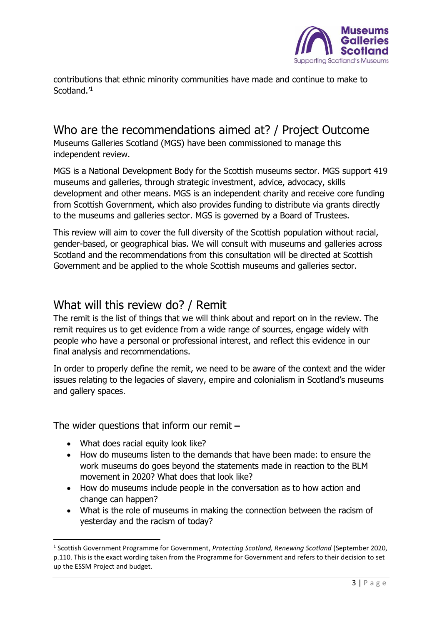

contributions that ethnic minority communities have made and continue to make to Scotland.<sup>'1</sup>

## <span id="page-2-0"></span>Who are the recommendations aimed at? / Project Outcome

Museums Galleries Scotland (MGS) have been commissioned to manage this independent review.

MGS is a National Development Body for the Scottish museums sector. MGS support 419 museums and galleries, through strategic investment, advice, advocacy, skills development and other means. MGS is an independent charity and receive core funding from Scottish Government, which also provides funding to distribute via grants directly to the museums and galleries sector. MGS is governed by a Board of Trustees.

This review will aim to cover the full diversity of the Scottish population without racial, gender-based, or geographical bias. We will consult with museums and galleries across Scotland and the recommendations from this consultation will be directed at Scottish Government and be applied to the whole Scottish museums and galleries sector.

### <span id="page-2-1"></span>What will this review do? / Remit

The remit is the list of things that we will think about and report on in the review. The remit requires us to get evidence from a wide range of sources, engage widely with people who have a personal or professional interest, and reflect this evidence in our final analysis and recommendations.

In order to properly define the remit, we need to be aware of the context and the wider issues relating to the legacies of slavery, empire and colonialism in Scotland's museums and gallery spaces.

<span id="page-2-2"></span>The wider questions that inform our remit **–**

- What does racial equity look like?
- How do museums listen to the demands that have been made: to ensure the work museums do goes beyond the statements made in reaction to the BLM movement in 2020? What does that look like?
- How do museums include people in the conversation as to how action and change can happen?
- What is the role of museums in making the connection between the racism of yesterday and the racism of today?

<sup>1</sup> Scottish Government Programme for Government, *Protecting Scotland, Renewing Scotland* (September 2020, p.110. This is the exact wording taken from the Programme for Government and refers to their decision to set up the ESSM Project and budget.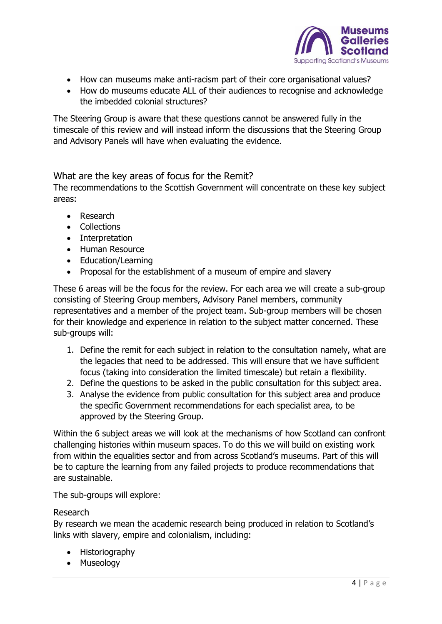

- How can museums make anti-racism part of their core organisational values?
- How do museums educate ALL of their audiences to recognise and acknowledge the imbedded colonial structures?

The Steering Group is aware that these questions cannot be answered fully in the timescale of this review and will instead inform the discussions that the Steering Group and Advisory Panels will have when evaluating the evidence.

<span id="page-3-0"></span>What are the key areas of focus for the Remit?

The recommendations to the Scottish Government will concentrate on these key subject areas:

- Research
- Collections
- Interpretation
- Human Resource
- Education/Learning
- Proposal for the establishment of a museum of empire and slavery

These 6 areas will be the focus for the review. For each area we will create a sub-group consisting of Steering Group members, Advisory Panel members, community representatives and a member of the project team. Sub-group members will be chosen for their knowledge and experience in relation to the subject matter concerned. These sub-groups will:

- 1. Define the remit for each subject in relation to the consultation namely, what are the legacies that need to be addressed. This will ensure that we have sufficient focus (taking into consideration the limited timescale) but retain a flexibility.
- 2. Define the questions to be asked in the public consultation for this subject area.
- 3. Analyse the evidence from public consultation for this subject area and produce the specific Government recommendations for each specialist area, to be approved by the Steering Group.

Within the 6 subject areas we will look at the mechanisms of how Scotland can confront challenging histories within museum spaces. To do this we will build on existing work from within the equalities sector and from across Scotland's museums. Part of this will be to capture the learning from any failed projects to produce recommendations that are sustainable.

The sub-groups will explore:

### <span id="page-3-1"></span>Research

By research we mean the academic research being produced in relation to Scotland's links with slavery, empire and colonialism, including:

- Historiography
- Museology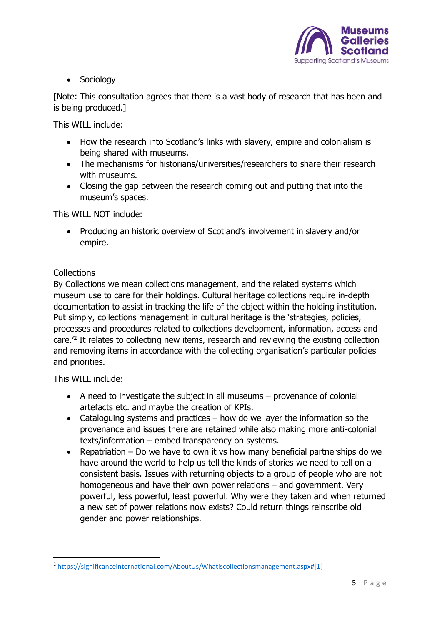

• Sociology

[Note: This consultation agrees that there is a vast body of research that has been and is being produced.]

This WILL include:

- How the research into Scotland's links with slavery, empire and colonialism is being shared with museums.
- The mechanisms for historians/universities/researchers to share their research with museums.
- Closing the gap between the research coming out and putting that into the museum's spaces.

This WILL NOT include:

• Producing an historic overview of Scotland's involvement in slavery and/or empire.

### <span id="page-4-0"></span>**Collections**

By Collections we mean collections management, and the related systems which museum use to care for their holdings. Cultural heritage collections require in-depth documentation to assist in tracking the life of the object within the holding institution. Put simply, collections management in cultural heritage is the 'strategies, policies, processes and procedures related to collections development, information, access and care.<sup> $2$ </sup> It relates to collecting new items, research and reviewing the existing collection and removing items in accordance with the collecting organisation's particular policies and priorities.

This WILL include:

- A need to investigate the subject in all museums provenance of colonial artefacts etc. and maybe the creation of KPIs.
- Cataloguing systems and practices how do we layer the information so the provenance and issues there are retained while also making more anti-colonial texts/information – embed transparency on systems.
- Repatriation Do we have to own it vs how many beneficial partnerships do we have around the world to help us tell the kinds of stories we need to tell on a consistent basis. Issues with returning objects to a group of people who are not homogeneous and have their own power relations – and government. Very powerful, less powerful, least powerful. Why were they taken and when returned a new set of power relations now exists? Could return things reinscribe old gender and power relationships.

<sup>2</sup> [https://significanceinternational.com/AboutUs/Whatiscollectionsmanagement.aspx#\[1\]](https://significanceinternational.com/AboutUs/Whatiscollectionsmanagement.aspx#[1)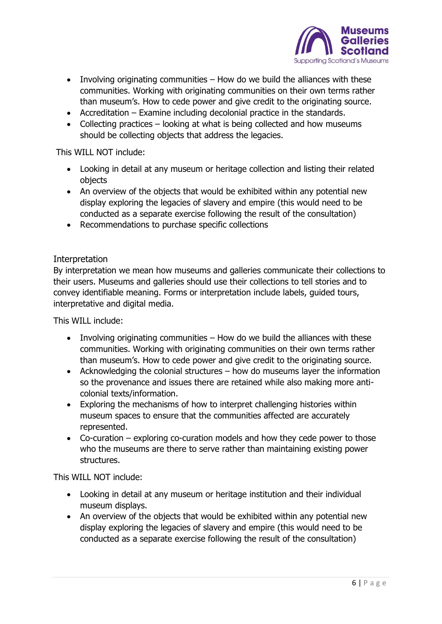

- Involving originating communities How do we build the alliances with these communities. Working with originating communities on their own terms rather than museum's. How to cede power and give credit to the originating source.
- Accreditation Examine including decolonial practice in the standards.
- Collecting practices looking at what is being collected and how museums should be collecting objects that address the legacies.

This WILL NOT include:

- Looking in detail at any museum or heritage collection and listing their related objects
- An overview of the objects that would be exhibited within any potential new display exploring the legacies of slavery and empire (this would need to be conducted as a separate exercise following the result of the consultation)
- Recommendations to purchase specific collections

### <span id="page-5-0"></span>Interpretation

By interpretation we mean how museums and galleries communicate their collections to their users. Museums and galleries should use their collections to tell stories and to convey identifiable meaning. Forms or interpretation include labels, guided tours, interpretative and digital media.

This WILL include:

- Involving originating communities How do we build the alliances with these communities. Working with originating communities on their own terms rather than museum's. How to cede power and give credit to the originating source.
- Acknowledging the colonial structures how do museums layer the information so the provenance and issues there are retained while also making more anticolonial texts/information.
- Exploring the mechanisms of how to interpret challenging histories within museum spaces to ensure that the communities affected are accurately represented.
- Co-curation exploring co-curation models and how they cede power to those who the museums are there to serve rather than maintaining existing power structures.

This WILL NOT include:

- Looking in detail at any museum or heritage institution and their individual museum displays.
- An overview of the objects that would be exhibited within any potential new display exploring the legacies of slavery and empire (this would need to be conducted as a separate exercise following the result of the consultation)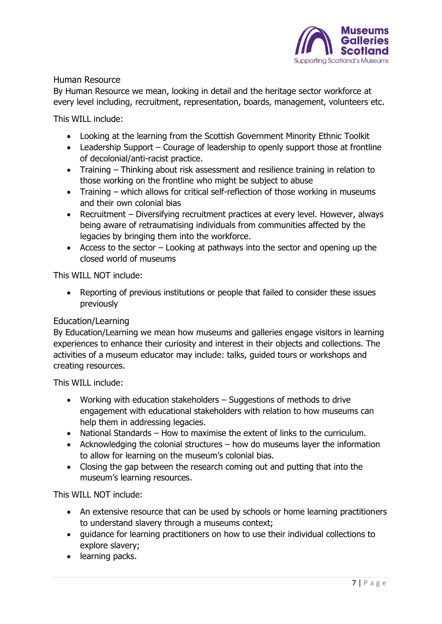

### <span id="page-6-0"></span>Human Resource

By Human Resource we mean, looking in detail and the heritage sector workforce at every level including, recruitment, representation, boards, management, volunteers etc.

This WILL include:

- Looking at the learning from the Scottish Government Minority Ethnic Toolkit
- Leadership Support Courage of leadership to openly support those at frontline of decolonial/anti-racist practice.
- Training Thinking about risk assessment and resilience training in relation to those working on the frontline who might be subject to abuse
- Training which allows for critical self-reflection of those working in museums and their own colonial bias
- Recruitment Diversifying recruitment practices at every level. However, always being aware of retraumatising individuals from communities affected by the legacies by bringing them into the workforce.
- Access to the sector Looking at pathways into the sector and opening up the closed world of museums

This WILL NOT include:

• Reporting of previous institutions or people that failed to consider these issues previously

### <span id="page-6-1"></span>Education/Learning

By Education/Learning we mean how museums and galleries engage visitors in learning experiences to enhance their curiosity and interest in their objects and collections. The activities of a museum educator may include: talks, guided tours or workshops and creating resources.

This WILL include:

- Working with education stakeholders Suggestions of methods to drive engagement with educational stakeholders with relation to how museums can help them in addressing legacies.
- National Standards How to maximise the extent of links to the curriculum.
- Acknowledging the colonial structures how do museums layer the information to allow for learning on the museum's colonial bias.
- Closing the gap between the research coming out and putting that into the museum's learning resources.

This WILL NOT include:

- An extensive resource that can be used by schools or home learning practitioners to understand slavery through a museums context;
- guidance for learning practitioners on how to use their individual collections to explore slavery;
- learning packs.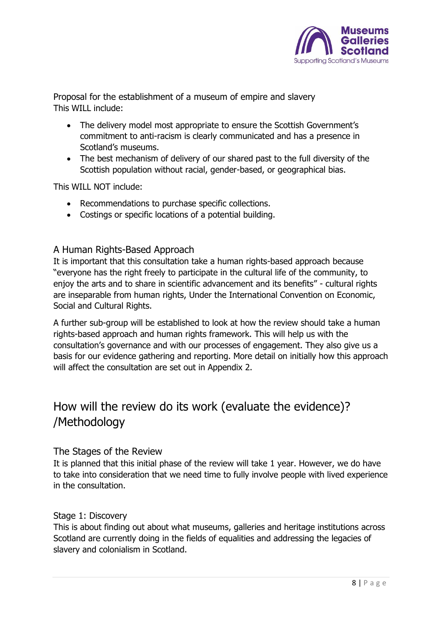

<span id="page-7-0"></span>Proposal for the establishment of a museum of empire and slavery This WILL include:

- The delivery model most appropriate to ensure the Scottish Government's commitment to anti-racism is clearly communicated and has a presence in Scotland's museums.
- The best mechanism of delivery of our shared past to the full diversity of the Scottish population without racial, gender-based, or geographical bias.

This WILL NOT include:

- Recommendations to purchase specific collections.
- Costings or specific locations of a potential building.

### <span id="page-7-1"></span>A Human Rights-Based Approach

It is important that this consultation take a human rights-based approach because "everyone has the right freely to participate in the cultural life of the community, to enjoy the arts and to share in scientific advancement and its benefits" - cultural rights are inseparable from human rights, Under the International Convention on Economic, Social and Cultural Rights.

A further sub-group will be established to look at how the review should take a human rights-based approach and human rights framework. This will help us with the consultation's governance and with our processes of engagement. They also give us a basis for our evidence gathering and reporting. More detail on initially how this approach will affect the consultation are set out in Appendix 2.

## <span id="page-7-2"></span>How will the review do its work (evaluate the evidence)? /Methodology

### <span id="page-7-3"></span>The Stages of the Review

It is planned that this initial phase of the review will take 1 year. However, we do have to take into consideration that we need time to fully involve people with lived experience in the consultation.

### <span id="page-7-4"></span>Stage 1: Discovery

This is about finding out about what museums, galleries and heritage institutions across Scotland are currently doing in the fields of equalities and addressing the legacies of slavery and colonialism in Scotland.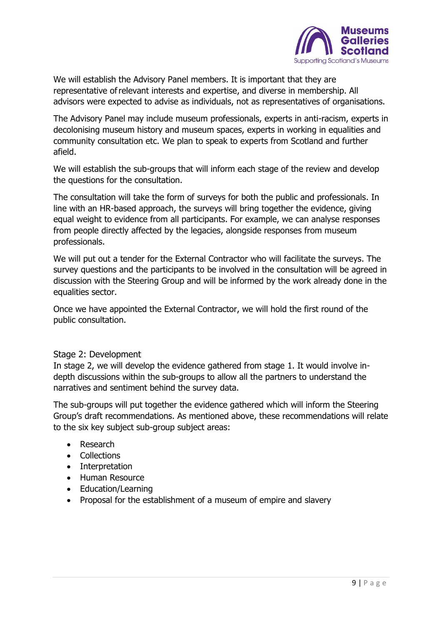

We will establish the Advisory Panel members. It is important that they are representative of relevant interests and expertise, and diverse in membership. All advisors were expected to advise as individuals, not as representatives of organisations.

The Advisory Panel may include museum professionals, experts in anti-racism, experts in decolonising museum history and museum spaces, experts in working in equalities and community consultation etc. We plan to speak to experts from Scotland and further afield.

We will establish the sub-groups that will inform each stage of the review and develop the questions for the consultation.

The consultation will take the form of surveys for both the public and professionals. In line with an HR-based approach, the surveys will bring together the evidence, giving equal weight to evidence from all participants. For example, we can analyse responses from people directly affected by the legacies, alongside responses from museum professionals.

We will put out a tender for the External Contractor who will facilitate the surveys. The survey questions and the participants to be involved in the consultation will be agreed in discussion with the Steering Group and will be informed by the work already done in the equalities sector.

Once we have appointed the External Contractor, we will hold the first round of the public consultation.

### <span id="page-8-0"></span>Stage 2: Development

In stage 2, we will develop the evidence gathered from stage 1. It would involve indepth discussions within the sub-groups to allow all the partners to understand the narratives and sentiment behind the survey data.

The sub-groups will put together the evidence gathered which will inform the Steering Group's draft recommendations. As mentioned above, these recommendations will relate to the six key subject sub-group subject areas:

- Research
- Collections
- Interpretation
- Human Resource
- Education/Learning
- Proposal for the establishment of a museum of empire and slavery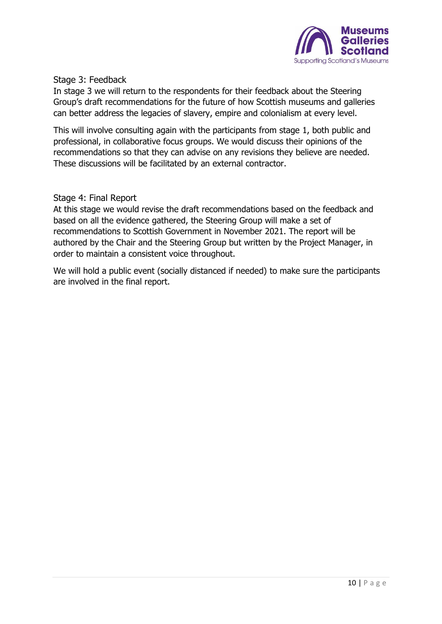

<span id="page-9-0"></span>Stage 3: Feedback

In stage 3 we will return to the respondents for their feedback about the Steering Group's draft recommendations for the future of how Scottish museums and galleries can better address the legacies of slavery, empire and colonialism at every level.

This will involve consulting again with the participants from stage 1, both public and professional, in collaborative focus groups. We would discuss their opinions of the recommendations so that they can advise on any revisions they believe are needed. These discussions will be facilitated by an external contractor.

<span id="page-9-1"></span>Stage 4: Final Report

At this stage we would revise the draft recommendations based on the feedback and based on all the evidence gathered, the Steering Group will make a set of recommendations to Scottish Government in November 2021. The report will be authored by the Chair and the Steering Group but written by the Project Manager, in order to maintain a consistent voice throughout.

We will hold a public event (socially distanced if needed) to make sure the participants are involved in the final report.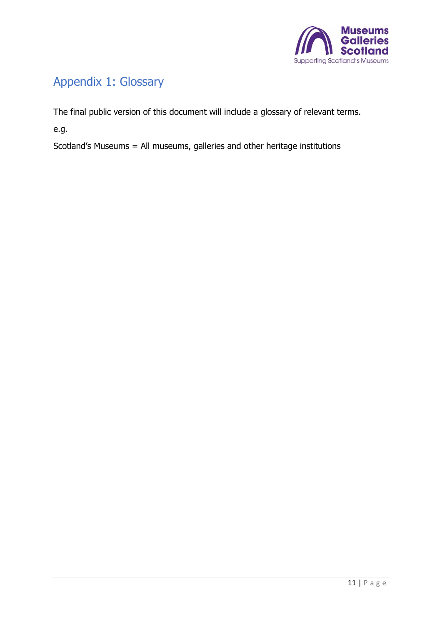

# <span id="page-10-0"></span>Appendix 1: Glossary

The final public version of this document will include a glossary of relevant terms.

e.g.

Scotland's Museums = All museums, galleries and other heritage institutions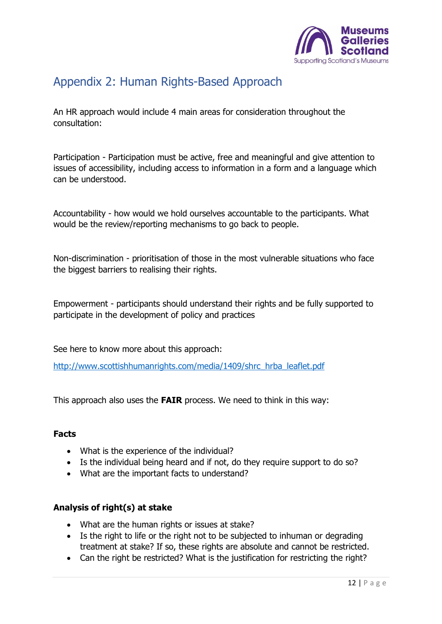

## <span id="page-11-0"></span>Appendix 2: Human Rights-Based Approach

An HR approach would include 4 main areas for consideration throughout the consultation:

Participation - Participation must be active, free and meaningful and give attention to issues of accessibility, including access to information in a form and a language which can be understood.

Accountability - how would we hold ourselves accountable to the participants. What would be the review/reporting mechanisms to go back to people.

Non-discrimination - prioritisation of those in the most vulnerable situations who face the biggest barriers to realising their rights.

Empowerment - participants should understand their rights and be fully supported to participate in the development of policy and practices

See here to know more about this approach:

[http://www.scottishhumanrights.com/media/1409/shrc\\_hrba\\_leaflet.pdf](http://www.scottishhumanrights.com/media/1409/shrc_hrba_leaflet.pdf)

This approach also uses the **FAIR** process. We need to think in this way:

### **Facts**

- What is the experience of the individual?
- Is the individual being heard and if not, do they require support to do so?
- What are the important facts to understand?

### **Analysis of right(s) at stake**

- What are the human rights or issues at stake?
- Is the right to life or the right not to be subjected to inhuman or degrading treatment at stake? If so, these rights are absolute and cannot be restricted.
- Can the right be restricted? What is the justification for restricting the right?